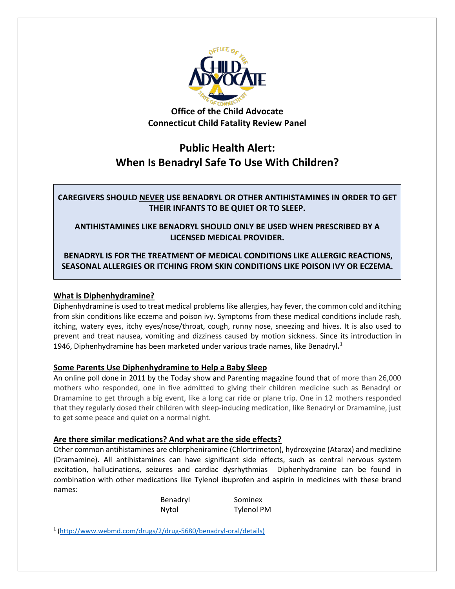

**Office of the Child Advocate Connecticut Child Fatality Review Panel**

# **Public Health Alert: When Is Benadryl Safe To Use With Children?**

**CAREGIVERS SHOULD NEVER USE BENADRYL OR OTHER ANTIHISTAMINES IN ORDER TO GET THEIR INFANTS TO BE QUIET OR TO SLEEP.** 

**ANTIHISTAMINES LIKE BENADRYL SHOULD ONLY BE USED WHEN PRESCRIBED BY A LICENSED MEDICAL PROVIDER.**

**BENADRYL IS FOR THE TREATMENT OF MEDICAL CONDITIONS LIKE ALLERGIC REACTIONS, SEASONAL ALLERGIES OR ITCHING FROM SKIN CONDITIONS LIKE POISON IVY OR ECZEMA.**

## **What is Diphenhydramine?**

 $\overline{a}$ 

Diphenhydramine is used to treat medical problems like allergies, hay fever, the common cold and itching from skin conditions like eczema and poison ivy. Symptoms from these medical conditions include rash, itching, watery eyes, itchy eyes/nose/throat, cough, runny nose, sneezing and hives. It is also used to prevent and treat nausea, vomiting and dizziness caused by motion sickness. Since its introduction in 1946, Diphenhydramine has been marketed under various trade names, like Benadryl**.** [1](#page-0-0)

## **Some Parents Use Diphenhydramine to Help a Baby Sleep**

An online poll done in 2011 by the Today show and Parenting magazine found that of more than 26,000 mothers who responded, one in five admitted to giving their children medicine such as Benadryl or Dramamine to get through a big event, like a long car ride or plane trip. One in 12 mothers responded that they regularly dosed their children with sleep-inducing medication, like Benadryl or Dramamine, just to get some peace and quiet on a normal night.

## **Are there similar medications? And what are the side effects?**

Other common antihistamines are chlorpheniramine (Chlortrimeton), hydroxyzine (Atarax) and meclizine (Dramamine). All antihistamines can have significant side effects, such as central nervous system excitation, hallucinations, seizures and cardiac dysrhythmias Diphenhydramine can be found in combination with other medications like Tylenol ibuprofen and aspirin in medicines with these brand names:

| Benadryl | Sominex           |
|----------|-------------------|
| Nytol    | <b>Tylenol PM</b> |

<span id="page-0-0"></span><sup>1</sup> [\(http://www.webmd.com/drugs/2/drug-5680/benadryl-oral/details\)](http://www.webmd.com/drugs/2/drug-5680/benadryl-oral/details))